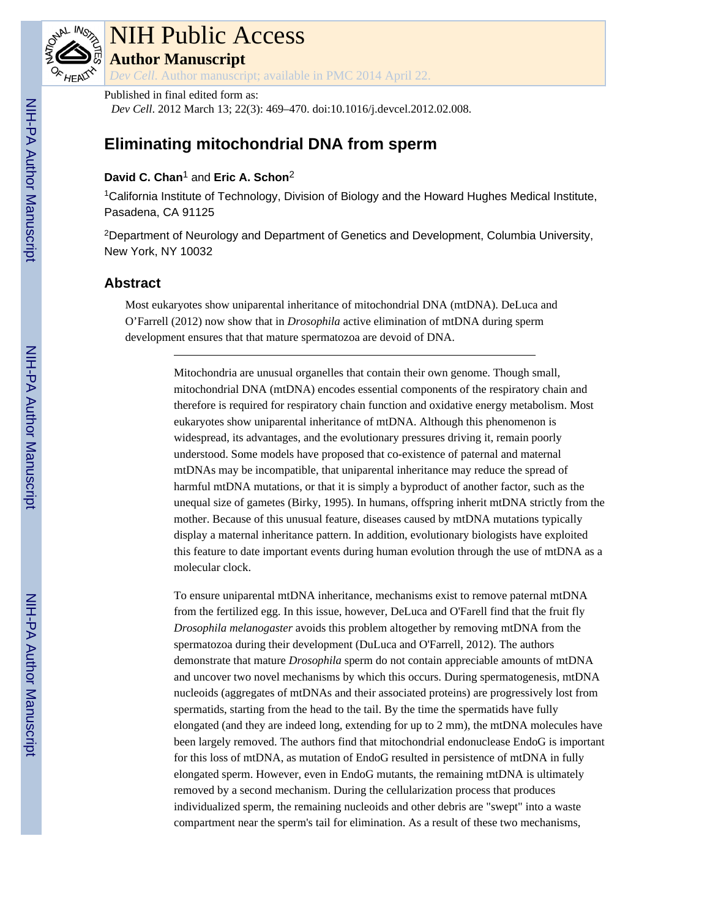

# NIH Public Access **Author Manuscript**

*Dev Cell*. Author manuscript; available in PMC 2014 April 22.

### Published in final edited form as:

*Dev Cell*. 2012 March 13; 22(3): 469–470. doi:10.1016/j.devcel.2012.02.008.

## **Eliminating mitochondrial DNA from sperm**

#### **David C. Chan**1 and **Eric A. Schon**<sup>2</sup>

<sup>1</sup>California Institute of Technology, Division of Biology and the Howard Hughes Medical Institute, Pasadena, CA 91125

<sup>2</sup>Department of Neurology and Department of Genetics and Development, Columbia University, New York, NY 10032

#### **Abstract**

Most eukaryotes show uniparental inheritance of mitochondrial DNA (mtDNA). DeLuca and O'Farrell (2012) now show that in *Drosophila* active elimination of mtDNA during sperm development ensures that that mature spermatozoa are devoid of DNA.

> Mitochondria are unusual organelles that contain their own genome. Though small, mitochondrial DNA (mtDNA) encodes essential components of the respiratory chain and therefore is required for respiratory chain function and oxidative energy metabolism. Most eukaryotes show uniparental inheritance of mtDNA. Although this phenomenon is widespread, its advantages, and the evolutionary pressures driving it, remain poorly understood. Some models have proposed that co-existence of paternal and maternal mtDNAs may be incompatible, that uniparental inheritance may reduce the spread of harmful mtDNA mutations, or that it is simply a byproduct of another factor, such as the unequal size of gametes (Birky, 1995). In humans, offspring inherit mtDNA strictly from the mother. Because of this unusual feature, diseases caused by mtDNA mutations typically display a maternal inheritance pattern. In addition, evolutionary biologists have exploited this feature to date important events during human evolution through the use of mtDNA as a molecular clock.

> To ensure uniparental mtDNA inheritance, mechanisms exist to remove paternal mtDNA from the fertilized egg. In this issue, however, DeLuca and O'Farell find that the fruit fly *Drosophila melanogaster* avoids this problem altogether by removing mtDNA from the spermatozoa during their development (DuLuca and O'Farrell, 2012). The authors demonstrate that mature *Drosophila* sperm do not contain appreciable amounts of mtDNA and uncover two novel mechanisms by which this occurs. During spermatogenesis, mtDNA nucleoids (aggregates of mtDNAs and their associated proteins) are progressively lost from spermatids, starting from the head to the tail. By the time the spermatids have fully elongated (and they are indeed long, extending for up to 2 mm), the mtDNA molecules have been largely removed. The authors find that mitochondrial endonuclease EndoG is important for this loss of mtDNA, as mutation of EndoG resulted in persistence of mtDNA in fully elongated sperm. However, even in EndoG mutants, the remaining mtDNA is ultimately removed by a second mechanism. During the cellularization process that produces individualized sperm, the remaining nucleoids and other debris are "swept" into a waste compartment near the sperm's tail for elimination. As a result of these two mechanisms,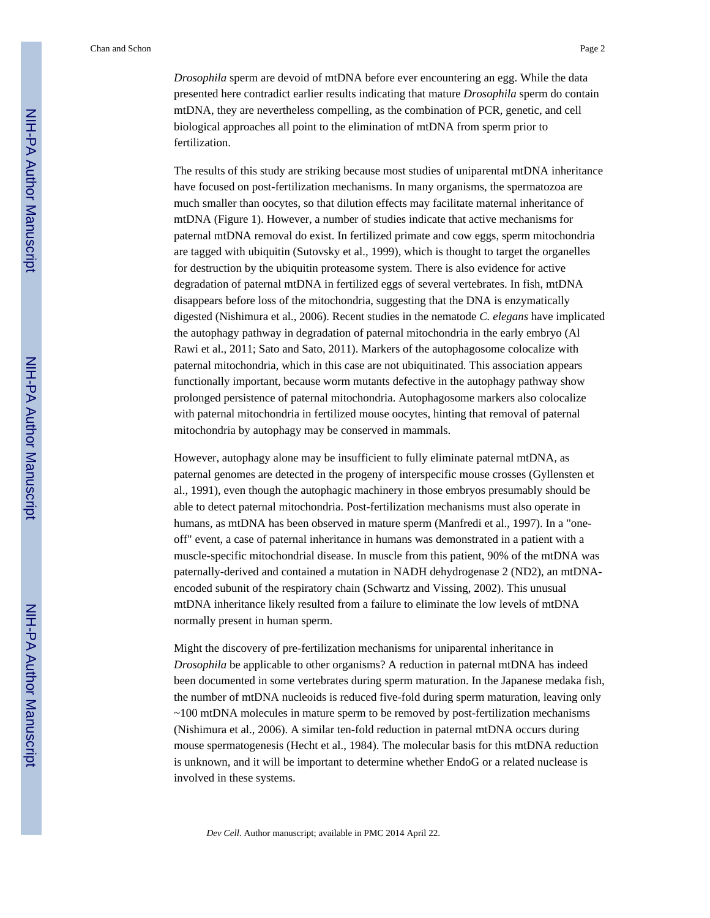Chan and Schon Page 2

*Drosophila* sperm are devoid of mtDNA before ever encountering an egg. While the data presented here contradict earlier results indicating that mature *Drosophila* sperm do contain mtDNA, they are nevertheless compelling, as the combination of PCR, genetic, and cell biological approaches all point to the elimination of mtDNA from sperm prior to fertilization.

The results of this study are striking because most studies of uniparental mtDNA inheritance have focused on post-fertilization mechanisms. In many organisms, the spermatozoa are much smaller than oocytes, so that dilution effects may facilitate maternal inheritance of mtDNA (Figure 1). However, a number of studies indicate that active mechanisms for paternal mtDNA removal do exist. In fertilized primate and cow eggs, sperm mitochondria are tagged with ubiquitin (Sutovsky et al., 1999), which is thought to target the organelles for destruction by the ubiquitin proteasome system. There is also evidence for active degradation of paternal mtDNA in fertilized eggs of several vertebrates. In fish, mtDNA disappears before loss of the mitochondria, suggesting that the DNA is enzymatically digested (Nishimura et al., 2006). Recent studies in the nematode *C. elegans* have implicated the autophagy pathway in degradation of paternal mitochondria in the early embryo (Al Rawi et al., 2011; Sato and Sato, 2011). Markers of the autophagosome colocalize with paternal mitochondria, which in this case are not ubiquitinated. This association appears functionally important, because worm mutants defective in the autophagy pathway show prolonged persistence of paternal mitochondria. Autophagosome markers also colocalize with paternal mitochondria in fertilized mouse oocytes, hinting that removal of paternal mitochondria by autophagy may be conserved in mammals.

However, autophagy alone may be insufficient to fully eliminate paternal mtDNA, as paternal genomes are detected in the progeny of interspecific mouse crosses (Gyllensten et al., 1991), even though the autophagic machinery in those embryos presumably should be able to detect paternal mitochondria. Post-fertilization mechanisms must also operate in humans, as mtDNA has been observed in mature sperm (Manfredi et al., 1997). In a "oneoff" event, a case of paternal inheritance in humans was demonstrated in a patient with a muscle-specific mitochondrial disease. In muscle from this patient, 90% of the mtDNA was paternally-derived and contained a mutation in NADH dehydrogenase 2 (ND2), an mtDNAencoded subunit of the respiratory chain (Schwartz and Vissing, 2002). This unusual mtDNA inheritance likely resulted from a failure to eliminate the low levels of mtDNA normally present in human sperm.

Might the discovery of pre-fertilization mechanisms for uniparental inheritance in *Drosophila* be applicable to other organisms? A reduction in paternal mtDNA has indeed been documented in some vertebrates during sperm maturation. In the Japanese medaka fish, the number of mtDNA nucleoids is reduced five-fold during sperm maturation, leaving only ~100 mtDNA molecules in mature sperm to be removed by post-fertilization mechanisms (Nishimura et al., 2006). A similar ten-fold reduction in paternal mtDNA occurs during mouse spermatogenesis (Hecht et al., 1984). The molecular basis for this mtDNA reduction is unknown, and it will be important to determine whether EndoG or a related nuclease is involved in these systems.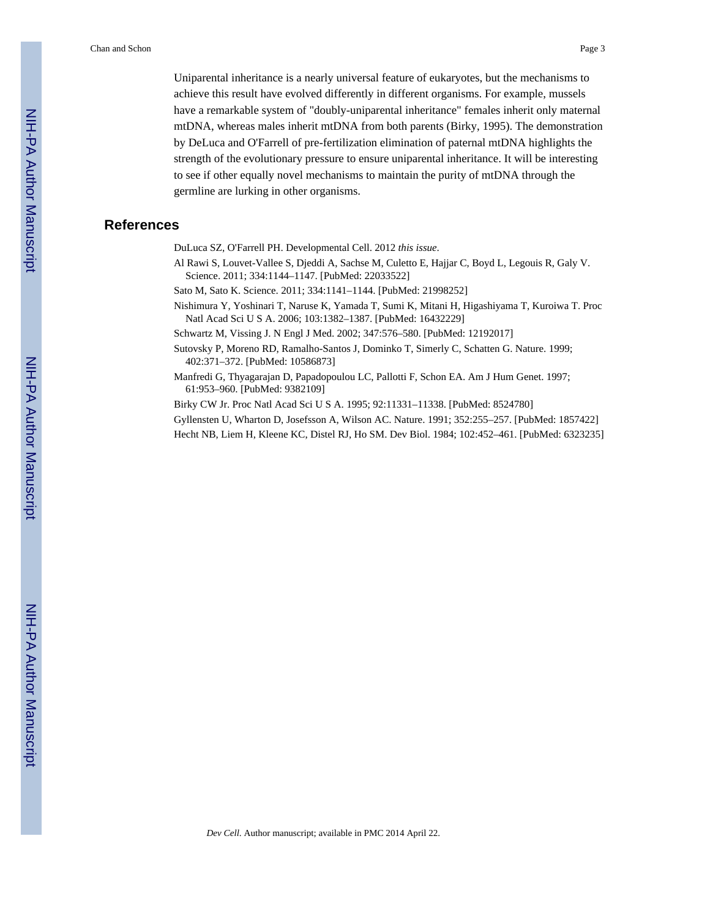Uniparental inheritance is a nearly universal feature of eukaryotes, but the mechanisms to achieve this result have evolved differently in different organisms. For example, mussels have a remarkable system of "doubly-uniparental inheritance" females inherit only maternal mtDNA, whereas males inherit mtDNA from both parents (Birky, 1995). The demonstration by DeLuca and O'Farrell of pre-fertilization elimination of paternal mtDNA highlights the strength of the evolutionary pressure to ensure uniparental inheritance. It will be interesting to see if other equally novel mechanisms to maintain the purity of mtDNA through the germline are lurking in other organisms.

#### **References**

DuLuca SZ, O'Farrell PH. Developmental Cell. 2012 *this issue*.

- Al Rawi S, Louvet-Vallee S, Djeddi A, Sachse M, Culetto E, Hajjar C, Boyd L, Legouis R, Galy V. Science. 2011; 334:1144–1147. [PubMed: 22033522]
- Sato M, Sato K. Science. 2011; 334:1141–1144. [PubMed: 21998252]
- Nishimura Y, Yoshinari T, Naruse K, Yamada T, Sumi K, Mitani H, Higashiyama T, Kuroiwa T. Proc Natl Acad Sci U S A. 2006; 103:1382–1387. [PubMed: 16432229]
- Schwartz M, Vissing J. N Engl J Med. 2002; 347:576–580. [PubMed: 12192017]
- Sutovsky P, Moreno RD, Ramalho-Santos J, Dominko T, Simerly C, Schatten G. Nature. 1999; 402:371–372. [PubMed: 10586873]
- Manfredi G, Thyagarajan D, Papadopoulou LC, Pallotti F, Schon EA. Am J Hum Genet. 1997; 61:953–960. [PubMed: 9382109]

Birky CW Jr. Proc Natl Acad Sci U S A. 1995; 92:11331–11338. [PubMed: 8524780]

Gyllensten U, Wharton D, Josefsson A, Wilson AC. Nature. 1991; 352:255–257. [PubMed: 1857422]

Hecht NB, Liem H, Kleene KC, Distel RJ, Ho SM. Dev Biol. 1984; 102:452–461. [PubMed: 6323235]